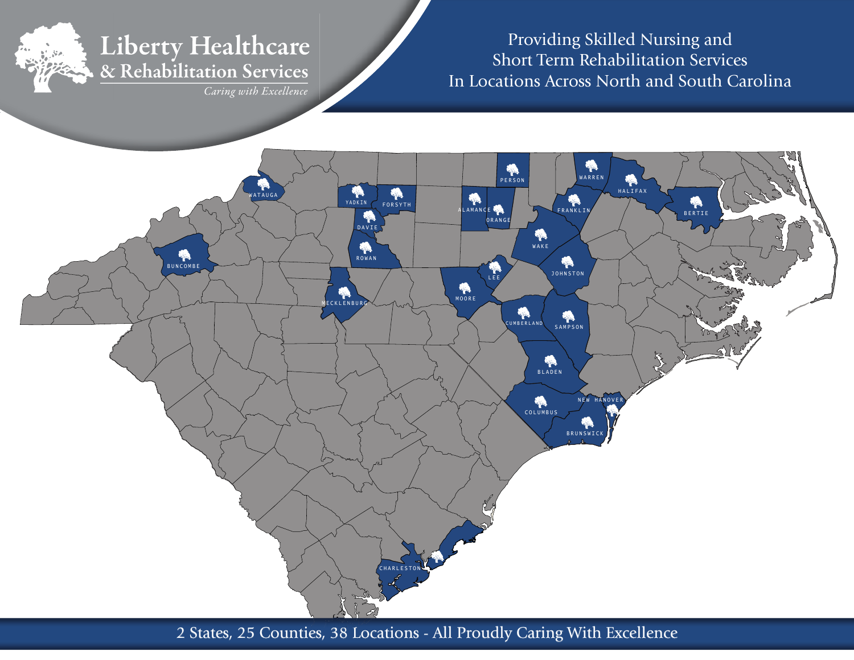# Liberty Healthcare

& Rehabilitation Services

Caring with Excellence

Providing Skilled Nursing and Short Term Rehabilitation ServicesIn Locations Across North and South Carolina



2 States, 25 Counties, 38 Locations - All Proudly Caring With Excellence